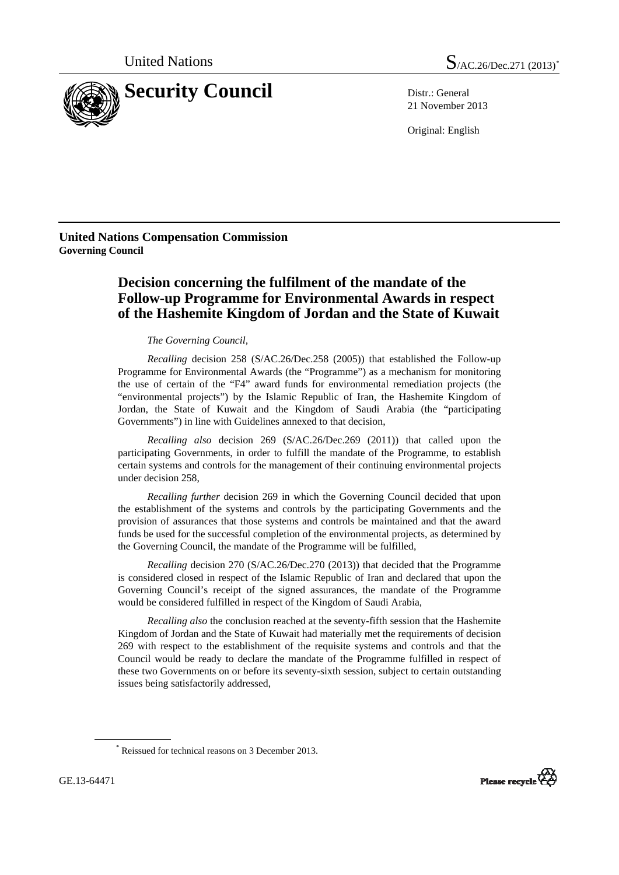

21 November 2013

Original: English

**United Nations Compensation Commission Governing Council** 

## **Decision concerning the fulfilment of the mandate of the Follow-up Programme for Environmental Awards in respect of the Hashemite Kingdom of Jordan and the State of Kuwait**

## *The Governing Council,*

*Recalling* decision 258 (S/AC.26/Dec.258 (2005)) that established the Follow-up Programme for Environmental Awards (the "Programme") as a mechanism for monitoring the use of certain of the "F4" award funds for environmental remediation projects (the "environmental projects") by the Islamic Republic of Iran, the Hashemite Kingdom of Jordan, the State of Kuwait and the Kingdom of Saudi Arabia (the "participating Governments") in line with Guidelines annexed to that decision,

*Recalling also* decision 269 (S/AC.26/Dec.269 (2011)) that called upon the participating Governments, in order to fulfill the mandate of the Programme, to establish certain systems and controls for the management of their continuing environmental projects under decision 258,

*Recalling further* decision 269 in which the Governing Council decided that upon the establishment of the systems and controls by the participating Governments and the provision of assurances that those systems and controls be maintained and that the award funds be used for the successful completion of the environmental projects, as determined by the Governing Council, the mandate of the Programme will be fulfilled,

*Recalling* decision 270 (S/AC.26/Dec.270 (2013)) that decided that the Programme is considered closed in respect of the Islamic Republic of Iran and declared that upon the Governing Council's receipt of the signed assurances, the mandate of the Programme would be considered fulfilled in respect of the Kingdom of Saudi Arabia,

 *Recalling also* the conclusion reached at the seventy-fifth session that the Hashemite Kingdom of Jordan and the State of Kuwait had materially met the requirements of decision 269 with respect to the establishment of the requisite systems and controls and that the Council would be ready to declare the mandate of the Programme fulfilled in respect of these two Governments on or before its seventy-sixth session, subject to certain outstanding issues being satisfactorily addressed,



<span id="page-0-0"></span><sup>\*</sup> Reissued for technical reasons on 3 December 2013.